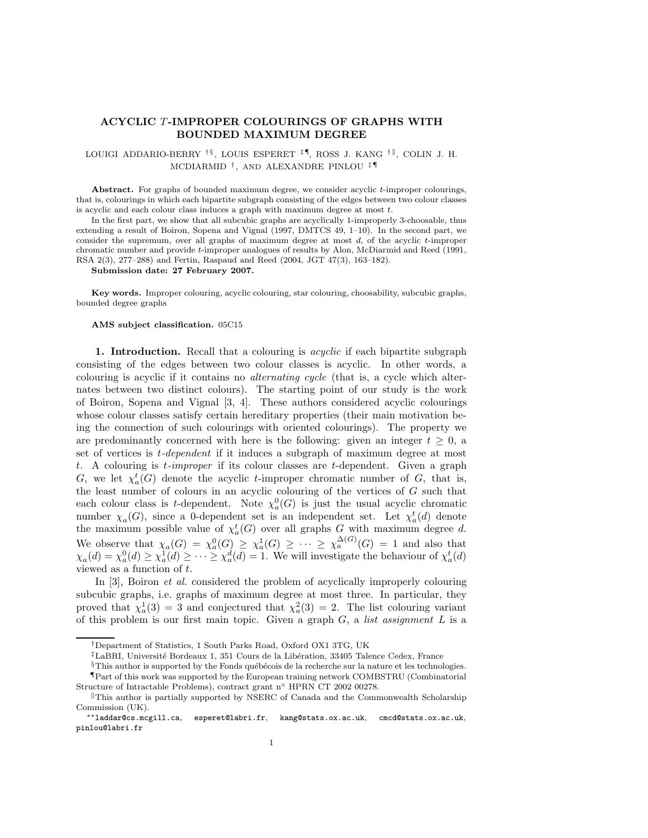## ACYCLIC T-IMPROPER COLOURINGS OF GRAPHS WITH BOUNDED MAXIMUM DEGREE

LOUIGI ADDARIO-BERRY <sup>†§</sup>, LOUIS ESPERET <sup>‡¶</sup>, ROSS J. KANG <sup>† ||</sup>, COLIN J. H. MCDIARMID † , AND ALEXANDRE PINLOU ‡ ¶

Abstract. For graphs of bounded maximum degree, we consider acyclic t-improper colourings, that is, colourings in which each bipartite subgraph consisting of the edges between two colour classes is acyclic and each colour class induces a graph with maximum degree at most t.

In the first part, we show that all subcubic graphs are acyclically 1-improperly 3-choosable, thus extending a result of Boiron, Sopena and Vignal (1997, DMTCS 49, 1–10). In the second part, we consider the supremum, over all graphs of maximum degree at most  $d$ , of the acyclic t-improper chromatic number and provide t-improper analogues of results by Alon, McDiarmid and Reed (1991, RSA 2(3), 277–288) and Fertin, Raspaud and Reed (2004, JGT 47(3), 163–182).

Submission date: 27 February 2007.

Key words. Improper colouring, acyclic colouring, star colouring, choosability, subcubic graphs, bounded degree graphs

## AMS subject classification. 05C15

1. Introduction. Recall that a colouring is *acyclic* if each bipartite subgraph consisting of the edges between two colour classes is acyclic. In other words, a colouring is acyclic if it contains no alternating cycle (that is, a cycle which alternates between two distinct colours). The starting point of our study is the work of Boiron, Sopena and Vignal  $[3, 4]$ . These authors considered acyclic colourings whose colour classes satisfy certain hereditary properties (their main motivation being the connection of such colourings with oriented colourings). The property we are predominantly concerned with here is the following: given an integer  $t \geq 0$ , a set of vertices is t-dependent if it induces a subgraph of maximum degree at most t. A colouring is  $t$ -improper if its colour classes are  $t$ -dependent. Given a graph G, we let  $\chi_a^t(G)$  denote the acyclic t-improper chromatic number of G, that is, the least number of colours in an acyclic colouring of the vertices of  $G$  such that each colour class is t-dependent. Note  $\chi_a^0(G)$  is just the usual acyclic chromatic number  $\chi_a(G)$ , since a 0-dependent set is an independent set. Let  $\chi_a^t(d)$  denote the maximum possible value of  $\chi_a^t(G)$  over all graphs G with maximum degree d. We observe that  $\chi_a(G) = \chi_a^0(G) \geq \chi_a^1(G) \geq \cdots \geq \chi_a^{\Delta(G)}(G) = 1$  and also that  $\chi_a(d) = \chi_a^0(d) \ge \chi_a^1(d) \ge \cdots \ge \chi_a^d(d) = 1$ . We will investigate the behaviour of  $\chi_a^t(d)$ viewed as a function of  $t$ .

In [3], Boiron *et al.* considered the problem of acyclically improperly colouring subcubic graphs, i.e. graphs of maximum degree at most three. In particular, they proved that  $\chi_a^1(3) = 3$  and conjectured that  $\chi_a^2(3) = 2$ . The list colouring variant of this problem is our first main topic. Given a graph  $G$ , a *list assignment*  $L$  is a

<sup>†</sup>Department of Statistics, 1 South Parks Road, Oxford OX1 3TG, UK

 $\frac{1}{2}$ LaBRI, Université Bordeaux 1, 351 Cours de la Libération, 33405 Talence Cedex, France

 $§$ This author is supported by the Fonds québécois de la recherche sur la nature et les technologies.

<sup>¶</sup>Part of this work was supported by the European training network COMBSTRU (Combinatorial Structure of Intractable Problems), contract grant n◦ HPRN CT 2002 00278.

 $\|$ This author is partially supported by NSERC of Canada and the Commonwealth Scholarship Commission (UK).

<sup>∗∗</sup>laddar@cs.mcgill.ca, esperet@labri.fr, kang@stats.ox.ac.uk, cmcd@stats.ox.ac.uk, pinlou@labri.fr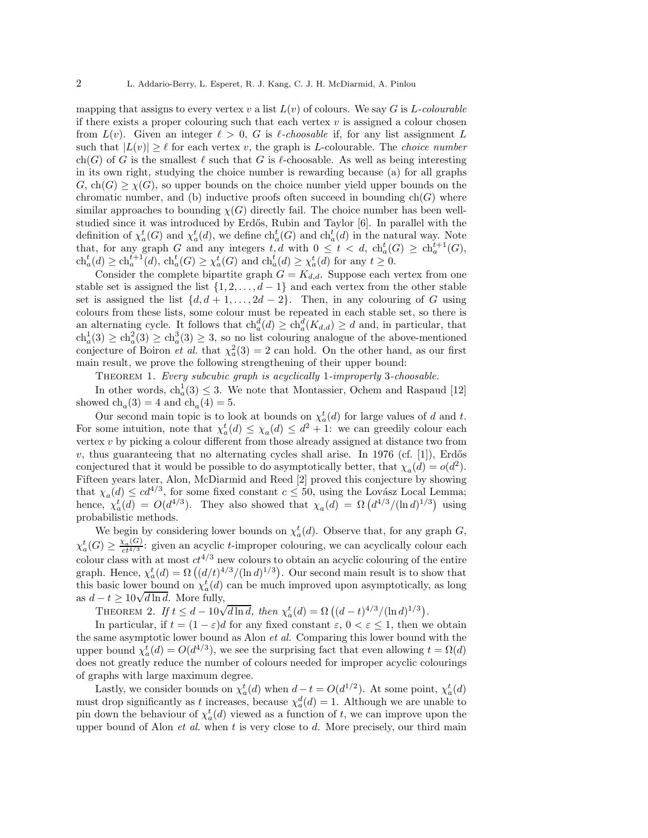mapping that assigns to every vertex v a list  $L(v)$  of colours. We say G is L-colourable if there exists a proper colouring such that each vertex  $v$  is assigned a colour chosen from  $L(v)$ . Given an integer  $\ell > 0$ , G is  $\ell$ -choosable if, for any list assignment L such that  $|L(v)| \geq \ell$  for each vertex v, the graph is L-colourable. The *choice number* ch(G) of G is the smallest  $\ell$  such that G is  $\ell$ -choosable. As well as being interesting in its own right, studying the choice number is rewarding because (a) for all graphs  $G, ch(G) \geq \chi(G)$ , so upper bounds on the choice number yield upper bounds on the chromatic number, and (b) inductive proofs often succeed in bounding  $ch(G)$  where similar approaches to bounding  $\chi(G)$  directly fail. The choice number has been wellstudied since it was introduced by Erdős, Rubin and Taylor [6]. In parallel with the definition of  $\chi_a^t(G)$  and  $\chi_a^t(d)$ , we define  $ch_a^t(G)$  and  $ch_a^t(d)$  in the natural way. Note that, for any graph G and any integers  $t, d$  with  $0 \leq t < d$ ,  $ch_a^t(G) \geq ch_a^{t+1}(G)$ ,  $ch_a^t(d) \ge ch_a^{t+1}(d), ch_a^t(G) \ge \chi_a^t(G)$  and  $ch_a^t(d) \ge \chi_a^t(d)$  for any  $t \ge 0$ .

Consider the complete bipartite graph  $G = K_{d,d}$ . Suppose each vertex from one stable set is assigned the list  $\{1, 2, \ldots, d-1\}$  and each vertex from the other stable set is assigned the list  $\{d, d + 1, \ldots, 2d - 2\}$ . Then, in any colouring of G using colours from these lists, some colour must be repeated in each stable set, so there is an alternating cycle. It follows that  $ch_a^d(d) \ge ch_a^d(K_{d,d}) \ge d$  and, in particular, that  $ch_a^1(3) \geq ch_a^2(3) \geq ch_a^3(3) \geq 3$ , so no list colouring analogue of the above-mentioned conjecture of Boiron *et al.* that  $\chi^2_a(3) = 2$  can hold. On the other hand, as our first main result, we prove the following strengthening of their upper bound:

Theorem 1. Every subcubic graph is acyclically 1-improperly 3-choosable.

In other words,  $ch_a^1(3) \leq 3$ . We note that Montassier, Ochem and Raspaud [12] showed  $\text{ch}_a(3) = 4$  and  $\text{ch}_a(4) = 5$ .

Our second main topic is to look at bounds on  $\chi_a^t(d)$  for large values of d and t. For some intuition, note that  $\chi_a^t(d) \leq \chi_a(d) \leq d^2 + 1$ : we can greedily colour each vertex  $v$  by picking a colour different from those already assigned at distance two from  $v$ , thus guaranteeing that no alternating cycles shall arise. In 1976 (cf. [1]), Erdős conjectured that it would be possible to do asymptotically better, that  $\chi_a(d) = o(d^2)$ . Fifteen years later, Alon, McDiarmid and Reed [2] proved this conjecture by showing that  $\chi_a(d) \leq c d^{4/3}$ , for some fixed constant  $c \leq 50$ , using the Lovász Local Lemma; hence,  $\chi_a^t(d) = O(d^{4/3})$ . They also showed that  $\chi_a(d) = \Omega(d^{4/3}/(\ln d)^{1/3})$  using probabilistic methods.

We begin by considering lower bounds on  $\chi_a^t(d)$ . Observe that, for any graph G,  $\chi_a^t(G) \geq \frac{\chi_a(G)}{ct^{4/3}}$ : given an acyclic t-improper colouring, we can acyclically colour each colour class with at most  $ct^{4/3}$  new colours to obtain an acyclic colouring of the entire graph. Hence,  $\chi_a^t(d) = \Omega\left((d/t)^{4/3}/(\ln d)^{1/3}\right)$ . Our second main result is to show that this basic lower bound on  $\chi_a^t(d)$  can be much improved upon asymptotically, as long as  $d - t \geq 10\sqrt{d \ln d}$ . More fully,

THEOREM 2. If  $t \leq d - 10\sqrt{d \ln d}$ , then  $\chi_a^t(d) = \Omega((d - t)^{4/3}/(\ln d)^{1/3})$ .

In particular, if  $t = (1 - \varepsilon)d$  for any fixed constant  $\varepsilon$ ,  $0 < \varepsilon \le 1$ , then we obtain the same asymptotic lower bound as Alon et al. Comparing this lower bound with the upper bound  $\chi_a^t(d) = O(d^{4/3})$ , we see the surprising fact that even allowing  $t = \Omega(d)$ does not greatly reduce the number of colours needed for improper acyclic colourings of graphs with large maximum degree.

Lastly, we consider bounds on  $\chi_a^t(d)$  when  $d-t = O(d^{1/2})$ . At some point,  $\chi_a^t(d)$ must drop significantly as t increases, because  $\chi_a^d(d) = 1$ . Although we are unable to pin down the behaviour of  $\chi_a^t(d)$  viewed as a function of t, we can improve upon the upper bound of Alon *et al.* when  $t$  is very close to  $d$ . More precisely, our third main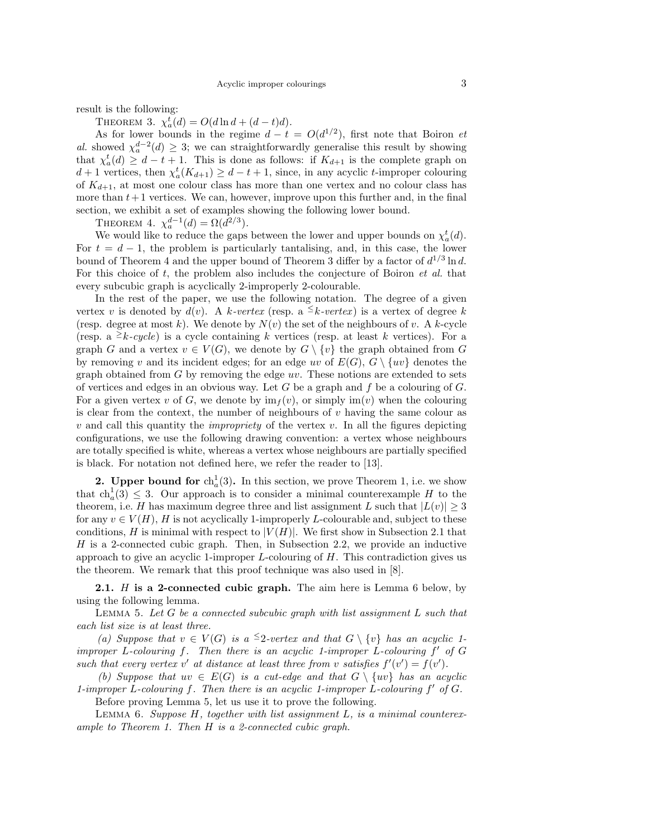result is the following:

THEOREM 3.  $\chi_a^t(d) = O(d \ln d + (d-t)d)$ .

As for lower bounds in the regime  $d - t = O(d^{1/2})$ , first note that Boiron *et* al. showed  $\chi_a^{d-2}(d) \geq 3$ ; we can straightforwardly generalise this result by showing that  $\chi_a^t(d) \geq d - t + 1$ . This is done as follows: if  $K_{d+1}$  is the complete graph on  $d+1$  vertices, then  $\chi_a^t(K_{d+1}) \geq d-t+1$ , since, in any acyclic t-improper colouring of  $K_{d+1}$ , at most one colour class has more than one vertex and no colour class has more than  $t+1$  vertices. We can, however, improve upon this further and, in the final section, we exhibit a set of examples showing the following lower bound.

THEOREM 4.  $\chi_a^{d-1}(d) = \Omega(d^{2/3})$ .

We would like to reduce the gaps between the lower and upper bounds on  $\chi_a^t(d)$ . For  $t = d - 1$ , the problem is particularly tantalising, and, in this case, the lower bound of Theorem 4 and the upper bound of Theorem 3 differ by a factor of  $d^{1/3} \ln d$ . For this choice of t, the problem also includes the conjecture of Boiron *et al.* that every subcubic graph is acyclically 2-improperly 2-colourable.

In the rest of the paper, we use the following notation. The degree of a given vertex v is denoted by  $d(v)$ . A k-vertex (resp. a  $\leq k$ -vertex) is a vertex of degree k (resp. degree at most k). We denote by  $N(v)$  the set of the neighbours of v. A k-cycle (resp. a  $\geq k-cycle$ ) is a cycle containing k vertices (resp. at least k vertices). For a graph G and a vertex  $v \in V(G)$ , we denote by  $G \setminus \{v\}$  the graph obtained from G by removing v and its incident edges; for an edge uv of  $E(G)$ ,  $G \setminus \{uv\}$  denotes the graph obtained from  $G$  by removing the edge  $uv$ . These notions are extended to sets of vertices and edges in an obvious way. Let  $G$  be a graph and  $f$  be a colouring of  $G$ . For a given vertex v of G, we denote by  $\text{im}_f(v)$ , or simply  $\text{im}(v)$  when the colouring is clear from the context, the number of neighbours of  $v$  having the same colour as  $v$  and call this quantity the *impropriety* of the vertex  $v$ . In all the figures depicting configurations, we use the following drawing convention: a vertex whose neighbours are totally specified is white, whereas a vertex whose neighbours are partially specified is black. For notation not defined here, we refer the reader to [13].

**2.** Upper bound for  $\mathrm{ch}_a^1(3)$ . In this section, we prove Theorem 1, i.e. we show that  $ch_a^1(3) \leq 3$ . Our approach is to consider a minimal counterexample H to the theorem, i.e. H has maximum degree three and list assignment L such that  $|L(v)| \geq 3$ for any  $v \in V(H)$ , H is not acyclically 1-improperly L-colourable and, subject to these conditions, H is minimal with respect to  $|V(H)|$ . We first show in Subsection 2.1 that H is a 2-connected cubic graph. Then, in Subsection 2.2, we provide an inductive approach to give an acyclic 1-improper  $L$ -colouring of  $H$ . This contradiction gives us the theorem. We remark that this proof technique was also used in [8].

**2.1.**  $H$  is a 2-connected cubic graph. The aim here is Lemma 6 below, by using the following lemma.

LEMMA 5. Let  $G$  be a connected subcubic graph with list assignment  $L$  such that each list size is at least three.

(a) Suppose that  $v \in V(G)$  is a <sup>≤</sup>2-vertex and that  $G \setminus \{v\}$  has an acyclic 1improper L-colouring  $f$ . Then there is an acyclic 1-improper L-colouring  $f'$  of  $G$ such that every vertex v' at distance at least three from v satisfies  $f'(v') = f(v')$ .

(b) Suppose that  $uv \in E(G)$  is a cut-edge and that  $G \setminus \{uv\}$  has an acyclic 1-improper L-colouring f. Then there is an acyclic 1-improper L-colouring f ′ of G.

Before proving Lemma 5, let us use it to prove the following.

LEMMA 6. Suppose  $H$ , together with list assignment  $L$ , is a minimal counterexample to Theorem 1. Then H is a 2-connected cubic graph.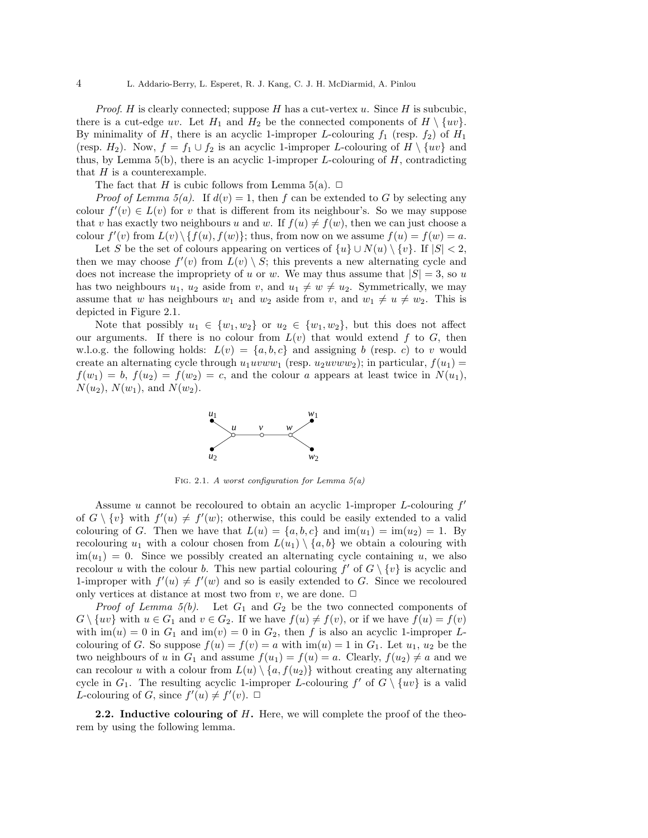*Proof.* H is clearly connected; suppose  $H$  has a cut-vertex  $u$ . Since  $H$  is subcubic, there is a cut-edge uv. Let  $H_1$  and  $H_2$  be the connected components of  $H \setminus \{uv\}$ . By minimality of H, there is an acyclic 1-improper L-colouring  $f_1$  (resp.  $f_2$ ) of  $H_1$ (resp.  $H_2$ ). Now,  $f = f_1 \cup f_2$  is an acyclic 1-improper L-colouring of  $H \setminus \{uv\}$  and thus, by Lemma  $5(b)$ , there is an acyclic 1-improper L-colouring of  $H$ , contradicting that  $H$  is a counterexample.

The fact that H is cubic follows from Lemma 5(a).  $\Box$ 

*Proof of Lemma 5(a).* If  $d(v) = 1$ , then f can be extended to G by selecting any colour  $f'(v) \in L(v)$  for v that is different from its neighbour's. So we may suppose that v has exactly two neighbours u and w. If  $f(u) \neq f(w)$ , then we can just choose a colour  $f'(v)$  from  $L(v) \setminus \{f(u), f(w)\}$ ; thus, from now on we assume  $f(u) = f(w) = a$ .

Let S be the set of colours appearing on vertices of  $\{u\} \cup N(u) \setminus \{v\}$ . If  $|S| < 2$ , then we may choose  $f'(v)$  from  $L(v) \setminus S$ ; this prevents a new alternating cycle and does not increase the impropriety of u or w. We may thus assume that  $|S| = 3$ , so u has two neighbours  $u_1, u_2$  aside from v, and  $u_1 \neq w \neq u_2$ . Symmetrically, we may assume that w has neighbours  $w_1$  and  $w_2$  aside from v, and  $w_1 \neq u \neq w_2$ . This is depicted in Figure 2.1.

Note that possibly  $u_1 \in \{w_1, w_2\}$  or  $u_2 \in \{w_1, w_2\}$ , but this does not affect our arguments. If there is no colour from  $L(v)$  that would extend f to G, then w.l.o.g. the following holds:  $L(v) = \{a, b, c\}$  and assigning b (resp. c) to v would create an alternating cycle through  $u_1uvwu_1$  (resp.  $u_2uvwu_2$ ); in particular,  $f(u_1) =$  $f(w_1) = b$ ,  $f(w_2) = f(w_2) = c$ , and the colour a appears at least twice in  $N(u_1)$ ,  $N(u_2)$ ,  $N(w_1)$ , and  $N(w_2)$ .



FIG. 2.1. A worst configuration for Lemma  $5(a)$ 

Assume  $u$  cannot be recoloured to obtain an acyclic 1-improper  $L$ -colouring  $f'$ of  $G \setminus \{v\}$  with  $f'(u) \neq f'(w)$ ; otherwise, this could be easily extended to a valid colouring of G. Then we have that  $L(u) = \{a, b, c\}$  and  $\text{im}(u_1) = \text{im}(u_2) = 1$ . By recolouring  $u_1$  with a colour chosen from  $L(u_1) \setminus \{a, b\}$  we obtain a colouring with  $\text{im}(u_1) = 0$ . Since we possibly created an alternating cycle containing u, we also recolour u with the colour b. This new partial colouring  $f'$  of  $G \setminus \{v\}$  is acyclic and 1-improper with  $f'(u) \neq f'(w)$  and so is easily extended to G. Since we recoloured only vertices at distance at most two from  $v$ , we are done.  $\Box$ 

*Proof of Lemma 5(b)*. Let  $G_1$  and  $G_2$  be the two connected components of  $G \setminus \{uv\}$  with  $u \in G_1$  and  $v \in G_2$ . If we have  $f(u) \neq f(v)$ , or if we have  $f(u) = f(v)$ with  $\text{im}(u) = 0$  in  $G_1$  and  $\text{im}(v) = 0$  in  $G_2$ , then f is also an acyclic 1-improper Lcolouring of G. So suppose  $f(u) = f(v) = a$  with  $\text{im}(u) = 1$  in  $G_1$ . Let  $u_1, u_2$  be the two neighbours of u in  $G_1$  and assume  $f(u_1) = f(u) = a$ . Clearly,  $f(u_2) \neq a$  and we can recolour u with a colour from  $L(u) \setminus \{a, f(u_2)\}\$  without creating any alternating cycle in  $G_1$ . The resulting acyclic 1-improper L-colouring  $f'$  of  $G \setminus \{uv\}$  is a valid L-colouring of G, since  $f'(u) \neq f'(v)$ .  $\Box$ 

**2.2.** Inductive colouring of  $H$ . Here, we will complete the proof of the theorem by using the following lemma.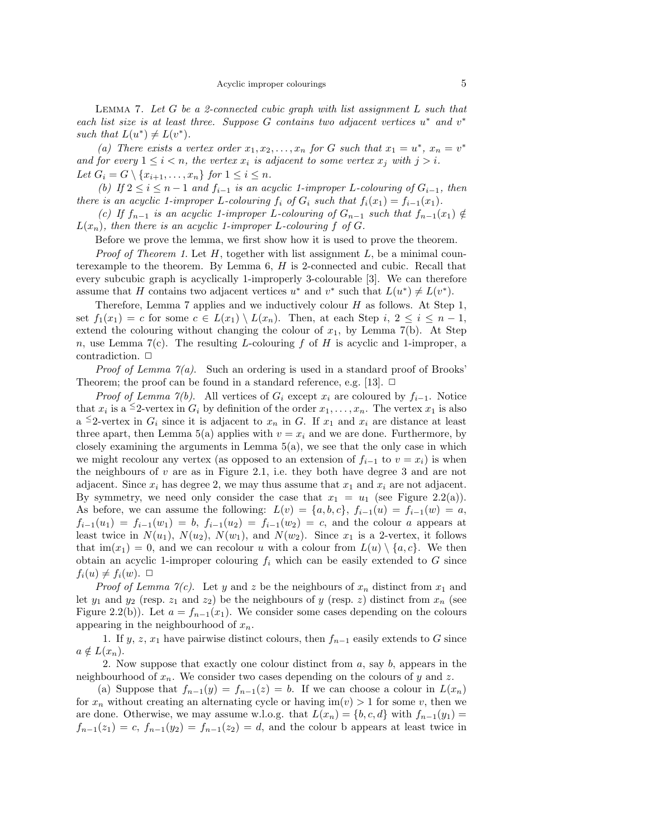LEMMA 7. Let  $G$  be a 2-connected cubic graph with list assignment  $L$  such that each list size is at least three. Suppose  $G$  contains two adjacent vertices  $u^*$  and  $v^*$ such that  $L(u^*) \neq L(v^*)$ .

(a) There exists a vertex order  $x_1, x_2, \ldots, x_n$  for G such that  $x_1 = u^*$ ,  $x_n = v^*$ and for every  $1 \leq i < n$ , the vertex  $x_i$  is adjacent to some vertex  $x_j$  with  $j > i$ . Let  $G_i = G \setminus \{x_{i+1}, \ldots, x_n\}$  for  $1 \leq i \leq n$ .

(b) If  $2 \le i \le n-1$  and  $f_{i-1}$  is an acyclic 1-improper L-colouring of  $G_{i-1}$ , then there is an acyclic 1-improper L-colouring  $f_i$  of  $G_i$  such that  $f_i(x_1) = f_{i-1}(x_1)$ .

(c) If  $f_{n-1}$  is an acyclic 1-improper L-colouring of  $G_{n-1}$  such that  $f_{n-1}(x_1) \notin$  $L(x_n)$ , then there is an acyclic 1-improper L-colouring f of G.

Before we prove the lemma, we first show how it is used to prove the theorem.

*Proof of Theorem 1.* Let  $H$ , together with list assignment  $L$ , be a minimal counterexample to the theorem. By Lemma 6, H is 2-connected and cubic. Recall that every subcubic graph is acyclically 1-improperly 3-colourable [3]. We can therefore assume that H contains two adjacent vertices  $u^*$  and  $v^*$  such that  $L(u^*) \neq L(v^*)$ .

Therefore, Lemma 7 applies and we inductively colour  $H$  as follows. At Step 1, set  $f_1(x_1) = c$  for some  $c \in L(x_1) \setminus L(x_n)$ . Then, at each Step  $i, 2 \leq i \leq n-1$ , extend the colouring without changing the colour of  $x_1$ , by Lemma 7(b). At Step n, use Lemma 7(c). The resulting L-colouring f of H is acyclic and 1-improper, a contradiction.  $\Box$ 

*Proof of Lemma*  $\gamma(a)$ *.* Such an ordering is used in a standard proof of Brooks' Theorem; the proof can be found in a standard reference, e.g. [13].  $\Box$ 

*Proof of Lemma 7(b).* All vertices of  $G_i$  except  $x_i$  are coloured by  $f_{i-1}$ . Notice that  $x_i$  is a <sup> $\leq$ </sup>2-vertex in  $G_i$  by definition of the order  $x_1, \ldots, x_n$ . The vertex  $x_1$  is also a <sup> $\leq$ </sup>2-vertex in  $G_i$  since it is adjacent to  $x_n$  in G. If  $x_1$  and  $x_i$  are distance at least three apart, then Lemma 5(a) applies with  $v = x_i$  and we are done. Furthermore, by closely examining the arguments in Lemma  $5(a)$ , we see that the only case in which we might recolour any vertex (as opposed to an extension of  $f_{i-1}$  to  $v = x_i$ ) is when the neighbours of  $v$  are as in Figure 2.1, i.e. they both have degree 3 and are not adjacent. Since  $x_i$  has degree 2, we may thus assume that  $x_1$  and  $x_i$  are not adjacent. By symmetry, we need only consider the case that  $x_1 = u_1$  (see Figure 2.2(a)). As before, we can assume the following:  $L(v) = \{a, b, c\}, f_{i-1}(u) = f_{i-1}(w) = a$ ,  $f_{i-1}(u_1) = f_{i-1}(w_1) = b$ ,  $f_{i-1}(u_2) = f_{i-1}(w_2) = c$ , and the colour a appears at least twice in  $N(u_1)$ ,  $N(u_2)$ ,  $N(w_1)$ , and  $N(w_2)$ . Since  $x_1$  is a 2-vertex, it follows that  $\text{im}(x_1) = 0$ , and we can recolour u with a colour from  $L(u) \setminus \{a, c\}$ . We then obtain an acyclic 1-improper colouring  $f_i$  which can be easily extended to G since  $f_i(u) \neq f_i(w)$ .  $\Box$ 

*Proof of Lemma 7(c)*. Let y and z be the neighbours of  $x_n$  distinct from  $x_1$  and let  $y_1$  and  $y_2$  (resp.  $z_1$  and  $z_2$ ) be the neighbours of y (resp. z) distinct from  $x_n$  (see Figure 2.2(b)). Let  $a = f_{n-1}(x_1)$ . We consider some cases depending on the colours appearing in the neighbourhood of  $x_n$ .

1. If y, z,  $x_1$  have pairwise distinct colours, then  $f_{n-1}$  easily extends to G since  $a \notin L(x_n)$ .

2. Now suppose that exactly one colour distinct from  $a$ , say  $b$ , appears in the neighbourhood of  $x_n$ . We consider two cases depending on the colours of y and z.

(a) Suppose that  $f_{n-1}(y) = f_{n-1}(z) = b$ . If we can choose a colour in  $L(x_n)$ for  $x_n$  without creating an alternating cycle or having  $\text{im}(v) > 1$  for some v, then we are done. Otherwise, we may assume w.l.o.g. that  $L(x_n) = \{b, c, d\}$  with  $f_{n-1}(y_1) =$  $f_{n-1}(z_1) = c$ ,  $f_{n-1}(y_2) = f_{n-1}(z_2) = d$ , and the colour b appears at least twice in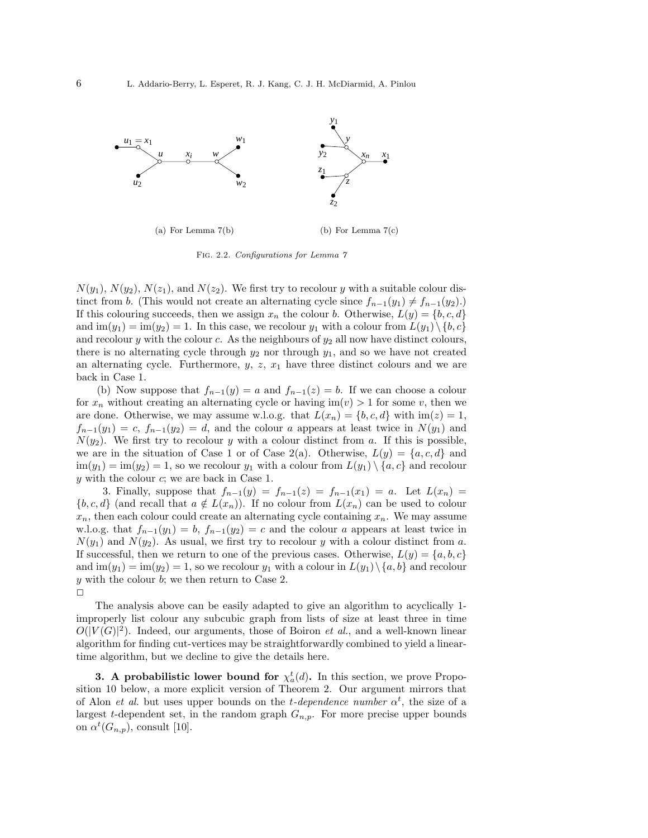

Fig. 2.2. Configurations for Lemma 7

 $N(y_1)$ ,  $N(y_2)$ ,  $N(z_1)$ , and  $N(z_2)$ . We first try to recolour y with a suitable colour distinct from b. (This would not create an alternating cycle since  $f_{n-1}(y_1) \neq f_{n-1}(y_2)$ .) If this colouring succeeds, then we assign  $x_n$  the colour b. Otherwise,  $L(y) = \{b, c, d\}$ and  $\text{im}(y_1) = \text{im}(y_2) = 1$ . In this case, we recolour  $y_1$  with a colour from  $L(y_1) \setminus \{b, c\}$ and recolour y with the colour c. As the neighbours of  $y_2$  all now have distinct colours, there is no alternating cycle through  $y_2$  nor through  $y_1$ , and so we have not created an alternating cycle. Furthermore,  $y, z, x_1$  have three distinct colours and we are back in Case 1.

(b) Now suppose that  $f_{n-1}(y) = a$  and  $f_{n-1}(z) = b$ . If we can choose a colour for  $x_n$  without creating an alternating cycle or having  $\text{im}(v) > 1$  for some v, then we are done. Otherwise, we may assume w.l.o.g. that  $L(x_n) = \{b, c, d\}$  with  $\text{im}(z) = 1$ ,  $f_{n-1}(y_1) = c$ ,  $f_{n-1}(y_2) = d$ , and the colour a appears at least twice in  $N(y_1)$  and  $N(y_2)$ . We first try to recolour y with a colour distinct from a. If this is possible, we are in the situation of Case 1 or of Case 2(a). Otherwise,  $L(y) = \{a, c, d\}$  and  $\lim(y_1) = \lim(y_2) = 1$ , so we recolour  $y_1$  with a colour from  $L(y_1) \setminus \{a, c\}$  and recolour  $y$  with the colour  $c$ ; we are back in Case 1.

3. Finally, suppose that  $f_{n-1}(y) = f_{n-1}(z) = f_{n-1}(x_1) = a$ . Let  $L(x_n) =$  ${b, c, d}$  (and recall that  $a \notin L(x_n)$ ). If no colour from  $L(x_n)$  can be used to colour  $x_n$ , then each colour could create an alternating cycle containing  $x_n$ . We may assume w.l.o.g. that  $f_{n-1}(y_1) = b$ ,  $f_{n-1}(y_2) = c$  and the colour a appears at least twice in  $N(y_1)$  and  $N(y_2)$ . As usual, we first try to recolour y with a colour distinct from a. If successful, then we return to one of the previous cases. Otherwise,  $L(y) = \{a, b, c\}$ and  $\text{im}(y_1) = \text{im}(y_2) = 1$ , so we recolour  $y_1$  with a colour in  $L(y_1) \setminus \{a, b\}$  and recolour y with the colour b; we then return to Case 2.  $\Box$ 

The analysis above can be easily adapted to give an algorithm to acyclically 1 improperly list colour any subcubic graph from lists of size at least three in time  $O(|V(G)|^2)$ . Indeed, our arguments, those of Boiron *et al.*, and a well-known linear algorithm for finding cut-vertices may be straightforwardly combined to yield a lineartime algorithm, but we decline to give the details here.

**3.** A probabilistic lower bound for  $\chi_a^t(d)$ . In this section, we prove Proposition 10 below, a more explicit version of Theorem 2. Our argument mirrors that of Alon *et al.* but uses upper bounds on the *t*-dependence number  $\alpha^t$ , the size of a largest t-dependent set, in the random graph  $G_{n,p}$ . For more precise upper bounds on  $\alpha^t(G_{n,p}),$  consult [10].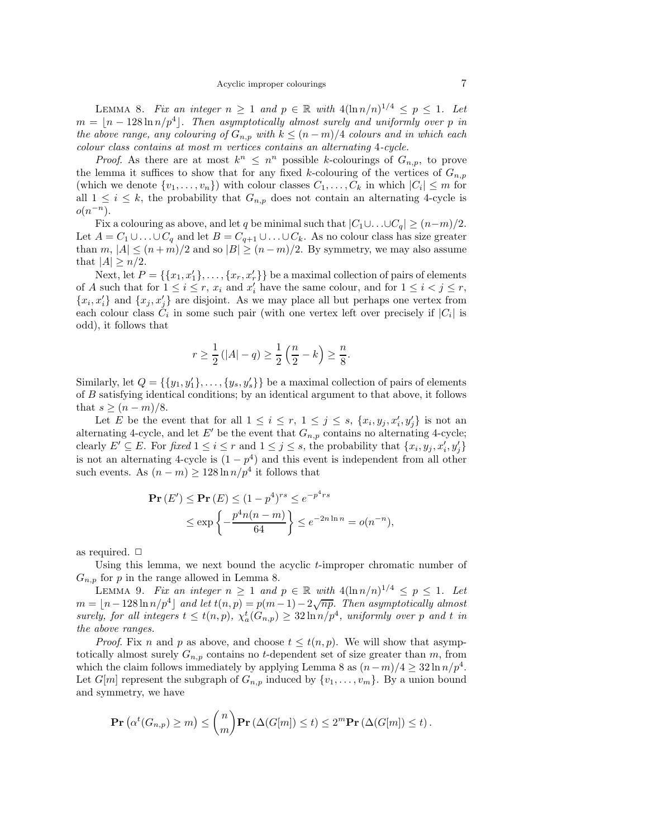LEMMA 8. Fix an integer  $n \geq 1$  and  $p \in \mathbb{R}$  with  $4(\ln n/n)^{1/4} \leq p \leq 1$ . Let  $m = \lfloor n - 128 \ln n/p^4 \rfloor$ . Then asymptotically almost surely and uniformly over p in the above range, any colouring of  $G_{n,p}$  with  $k \leq (n-m)/4$  colours and in which each colour class contains at most m vertices contains an alternating 4-cycle.

*Proof.* As there are at most  $k^n \n\t\leq n^n$  possible k-colourings of  $G_{n,p}$ , to prove the lemma it suffices to show that for any fixed k-colouring of the vertices of  $G_{n,p}$ (which we denote  $\{v_1, \ldots, v_n\}$ ) with colour classes  $C_1, \ldots, C_k$  in which  $|C_i| \leq m$  for all  $1 \leq i \leq k$ , the probability that  $G_{n,p}$  does not contain an alternating 4-cycle is  $o(n^{-n}).$ 

Fix a colouring as above, and let q be minimal such that  $|C_1 \cup ... \cup C_q| \ge (n-m)/2$ . Let  $A = C_1 \cup ... \cup C_q$  and let  $B = C_{q+1} \cup ... \cup C_k$ . As no colour class has size greater than m,  $|A| \le (n+m)/2$  and so  $|B| \ge (n-m)/2$ . By symmetry, we may also assume that  $|A| \geq n/2$ .

Next, let  $P = \{\{x_1, x'_1\}, \ldots, \{x_r, x'_r\}\}\$ be a maximal collection of pairs of elements of A such that for  $1 \leq i \leq r$ ,  $x_i$  and  $x'_i$  have the same colour, and for  $1 \leq i < j \leq r$ ,  ${x_i, x'_i}$  and  ${x_j, x'_j}$  are disjoint. As we may place all but perhaps one vertex from each colour class  $C_i$  in some such pair (with one vertex left over precisely if  $|C_i|$  is odd), it follows that

$$
r \ge \frac{1}{2} (|A| - q) \ge \frac{1}{2} (\frac{n}{2} - k) \ge \frac{n}{8}.
$$

Similarly, let  $Q = \{\{y_1, y'_1\}, \ldots, \{y_s, y'_s\}\}\$ be a maximal collection of pairs of elements of B satisfying identical conditions; by an identical argument to that above, it follows that  $s \geq (n-m)/8$ .

Let E be the event that for all  $1 \leq i \leq r, \ 1 \leq j \leq s, \ \{x_i, y_j, x'_i, y'_j\}$  is not an alternating 4-cycle, and let E' be the event that  $G_{n,p}$  contains no alternating 4-cycle; clearly  $E' \subseteq E$ . For fixed  $1 \leq i \leq r$  and  $1 \leq j \leq s$ , the probability that  $\{x_i, y_j, x'_i, y'_j\}$ is not an alternating 4-cycle is  $(1 - p<sup>4</sup>)$  and this event is independent from all other such events. As  $(n - m) \ge 128 \ln n/p^4$  it follows that

$$
\begin{aligned} \mathbf{Pr}\left(E'\right) &\leq \mathbf{Pr}\left(E\right) \leq (1 - p^4)^{rs} \leq e^{-p^4 rs} \\ &\leq \exp\left\{-\frac{p^4 n(n-m)}{64}\right\} \leq e^{-2n\ln n} = o(n^{-n}), \end{aligned}
$$

as required.  $\Box$ 

Using this lemma, we next bound the acyclic t-improper chromatic number of  $G_{n,p}$  for p in the range allowed in Lemma 8.

LEMMA 9. Fix an integer  $n \geq 1$  and  $p \in \mathbb{R}$  with  $4(\ln n/n)^{1/4} \leq p \leq 1$ . Let  $m = \lfloor n - 128 \ln n/p^4 \rfloor$  and let  $t(n, p) = p(m-1) - 2\sqrt{np}$ . Then asymptotically almost surely, for all integers  $t \leq t(n,p)$ ,  $\chi_a^t(G_{n,p}) \geq 32 \ln n/p^4$ , uniformly over p and t in the above ranges.

*Proof.* Fix n and p as above, and choose  $t \leq t(n, p)$ . We will show that asymptotically almost surely  $G_{n,p}$  contains no t-dependent set of size greater than m, from which the claim follows immediately by applying Lemma 8 as  $(n-m)/4 \geq 32 \ln n/p^4$ . Let  $G[m]$  represent the subgraph of  $G_{n,p}$  induced by  $\{v_1, \ldots, v_m\}$ . By a union bound and symmetry, we have

$$
\mathbf{Pr}\left(\alpha^t(G_{n,p}) \ge m\right) \le \binom{n}{m}\mathbf{Pr}\left(\Delta(G[m]) \le t\right) \le 2^m \mathbf{Pr}\left(\Delta(G[m]) \le t\right).
$$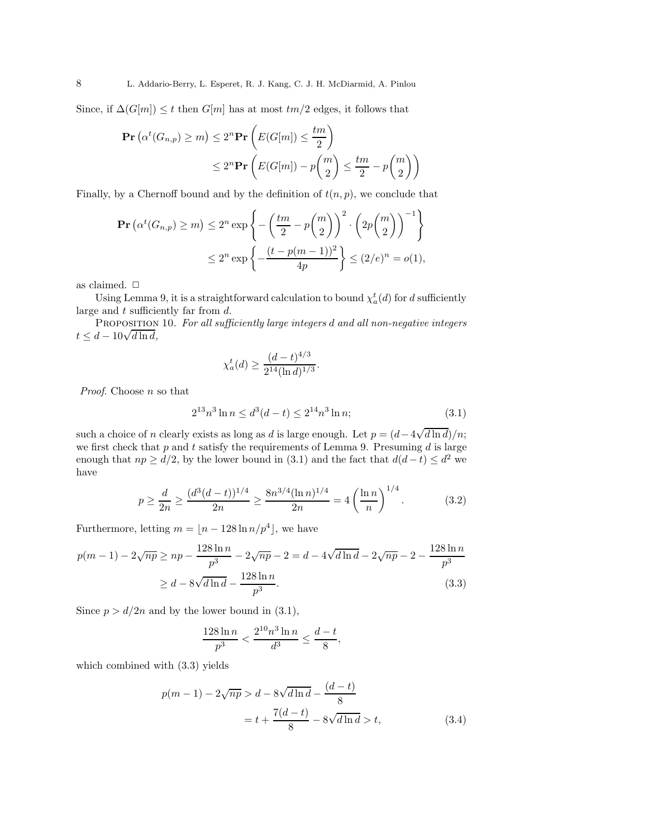Since, if  $\Delta(G[m]) \leq t$  then  $G[m]$  has at most  $tm/2$  edges, it follows that

$$
\mathbf{Pr}\left(\alpha^t(G_{n,p}) \ge m\right) \le 2^n \mathbf{Pr}\left(E(G[m]) \le \frac{tm}{2}\right)
$$
  

$$
\le 2^n \mathbf{Pr}\left(E(G[m]) - p\binom{m}{2} \le \frac{tm}{2} - p\binom{m}{2}\right)
$$

Finally, by a Chernoff bound and by the definition of  $t(n, p)$ , we conclude that

$$
\mathbf{Pr}\left(\alpha^t(G_{n,p}) \ge m\right) \le 2^n \exp\left\{-\left(\frac{tm}{2} - p\binom{m}{2}\right)^2 \cdot \left(2p\binom{m}{2}\right)^{-1}\right\}
$$

$$
\le 2^n \exp\left\{-\frac{(t - p(m-1))^2}{4p}\right\} \le (2/e)^n = o(1),
$$

as claimed.  $\Box$ 

Using Lemma 9, it is a straightforward calculation to bound  $\chi_a^t(d)$  for d sufficiently large and  $t$  sufficiently far from  $d$ .

PROPOSITION 10. For all sufficiently large integers d and all non-negative integers  $t \leq d - 10\sqrt{d \ln d},$ 

$$
\chi_a^t(d) \ge \frac{(d-t)^{4/3}}{2^{14}(\ln d)^{1/3}}.
$$

Proof. Choose n so that

$$
2^{13}n^3\ln n \le d^3(d-t) \le 2^{14}n^3\ln n;\tag{3.1}
$$

such a choice of n clearly exists as long as d is large enough. Let  $p = (d - 4\sqrt{d \ln d})/n$ ; we first check that  $p$  and  $t$  satisfy the requirements of Lemma 9. Presuming  $d$  is large enough that  $np \ge d/2$ , by the lower bound in (3.1) and the fact that  $d(d-t) \le d^2$  we have

$$
p \ge \frac{d}{2n} \ge \frac{(d^3(d-t))^{1/4}}{2n} \ge \frac{8n^{3/4}(\ln n)^{1/4}}{2n} = 4\left(\frac{\ln n}{n}\right)^{1/4}.
$$
 (3.2)

Furthermore, letting  $m = \lfloor n - 128 \ln n/p^4 \rfloor$ , we have

$$
p(m-1) - 2\sqrt{np} \ge np - \frac{128 \ln n}{p^3} - 2\sqrt{np} - 2 = d - 4\sqrt{d \ln d} - 2\sqrt{np} - 2 - \frac{128 \ln n}{p^3}
$$

$$
\ge d - 8\sqrt{d \ln d} - \frac{128 \ln n}{p^3}.
$$
(3.3)

Since  $p > d/2n$  and by the lower bound in (3.1),

$$
\frac{128\ln n}{p^3} < \frac{2^{10}n^3\ln n}{d^3} \le \frac{d-t}{8},
$$

which combined with (3.3) yields

$$
p(m-1) - 2\sqrt{np} > d - 8\sqrt{d\ln d} - \frac{(d-t)}{8}
$$

$$
= t + \frac{7(d-t)}{8} - 8\sqrt{d\ln d} > t,
$$
(3.4)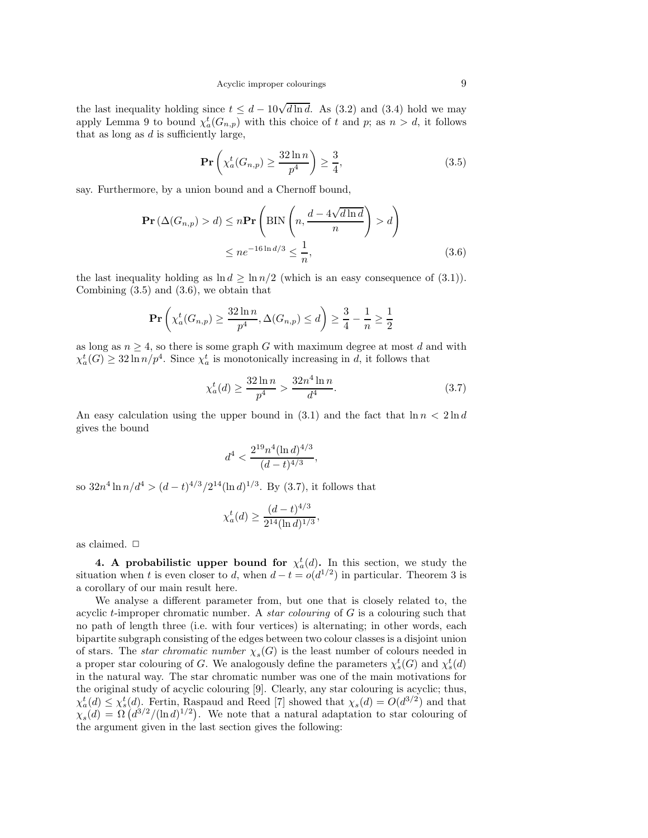the last inequality holding since  $t \leq d - 10\sqrt{d \ln d}$ . As (3.2) and (3.4) hold we may apply Lemma 9 to bound  $\chi_a^t(G_{n,p})$  with this choice of t and p; as  $n > d$ , it follows that as long as  $d$  is sufficiently large,

$$
\Pr\left(\chi_a^t(G_{n,p}) \ge \frac{32\ln n}{p^4}\right) \ge \frac{3}{4},\tag{3.5}
$$

say. Furthermore, by a union bound and a Chernoff bound,

$$
\mathbf{Pr}\left(\Delta(G_{n,p}) > d\right) \le n \mathbf{Pr}\left(\text{BIN}\left(n, \frac{d - 4\sqrt{d\ln d}}{n}\right) > d\right)
$$
  

$$
\le n e^{-16\ln d/3} \le \frac{1}{n},\tag{3.6}
$$

the last inequality holding as  $\ln d \geq \ln \frac{n}{2}$  (which is an easy consequence of (3.1)). Combining (3.5) and (3.6), we obtain that

$$
\mathbf{Pr}\left(\chi_a^t(G_{n,p}) \ge \frac{32\ln n}{p^4}, \Delta(G_{n,p}) \le d\right) \ge \frac{3}{4} - \frac{1}{n} \ge \frac{1}{2}
$$

as long as  $n \geq 4$ , so there is some graph G with maximum degree at most d and with  $\chi_a^t(G) \geq 32 \ln n/p^4$ . Since  $\chi_a^t$  is monotonically increasing in d, it follows that

$$
\chi_a^t(d) \ge \frac{32\ln n}{p^4} > \frac{32n^4\ln n}{d^4}.\tag{3.7}
$$

An easy calculation using the upper bound in (3.1) and the fact that  $\ln n < 2 \ln d$ gives the bound

$$
d^4 < \frac{2^{19}n^4 (\ln d)^{4/3}}{(d-t)^{4/3}},
$$

so  $32n^4 \ln n/d^4 > (d-t)^{4/3}/2^{14} (\ln d)^{1/3}$ . By (3.7), it follows that

$$
\chi_a^t(d) \ge \frac{(d-t)^{4/3}}{2^{14}(\ln d)^{1/3}},
$$

as claimed.  $\Box$ 

4. A probabilistic upper bound for  $\chi_a^t(d)$ . In this section, we study the situation when t is even closer to d, when  $d - t = o(d^{1/2})$  in particular. Theorem 3 is a corollary of our main result here.

We analyse a different parameter from, but one that is closely related to, the acyclic t-improper chromatic number. A *star colouring* of  $G$  is a colouring such that no path of length three (i.e. with four vertices) is alternating; in other words, each bipartite subgraph consisting of the edges between two colour classes is a disjoint union of stars. The *star chromatic number*  $\chi_s(G)$  is the least number of colours needed in a proper star colouring of G. We analogously define the parameters  $\chi_s^t(G)$  and  $\chi_s^t(d)$ in the natural way. The star chromatic number was one of the main motivations for the original study of acyclic colouring [9]. Clearly, any star colouring is acyclic; thus,  $\chi_a^t(d) \leq \chi_s^t(d)$ . Fertin, Raspaud and Reed [7] showed that  $\chi_s(d) = O(d^{3/2})$  and that  $\chi_s(d) = \Omega\left(d^{3/2}/(\ln d)^{1/2}\right)$ . We note that a natural adaptation to star colouring of the argument given in the last section gives the following: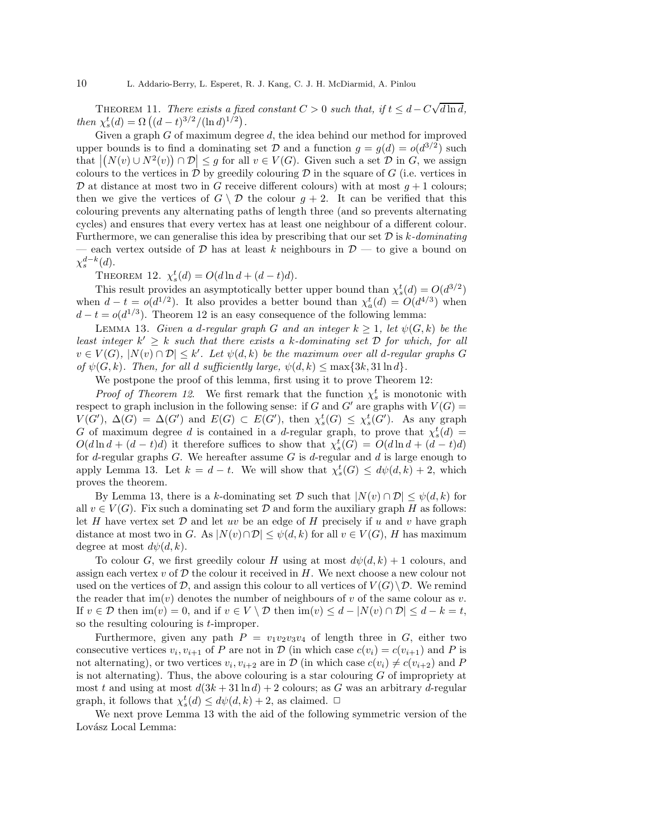THEOREM 11. There exists a fixed constant  $C > 0$  such that, if  $t \leq d - C\sqrt{d \ln d}$ , then  $\chi_s^t(d) = \Omega((d-t)^{3/2}/(\ln d)^{1/2}).$ 

Given a graph  $G$  of maximum degree  $d$ , the idea behind our method for improved upper bounds is to find a dominating set  $D$  and a function  $g = g(d) = o(d^{3/2})$  such that  $|(N(v) \cup N^2(v)) \cap \mathcal{D}| \leq g$  for all  $v \in V(G)$ . Given such a set  $\mathcal{D}$  in G, we assign colours to the vertices in  $\mathcal D$  by greedily colouring  $\mathcal D$  in the square of  $G$  (i.e. vertices in  $\mathcal D$  at distance at most two in G receive different colours) with at most  $g+1$  colours; then we give the vertices of  $G \setminus \mathcal{D}$  the colour  $g + 2$ . It can be verified that this colouring prevents any alternating paths of length three (and so prevents alternating cycles) and ensures that every vertex has at least one neighbour of a different colour. Furthermore, we can generalise this idea by prescribing that our set  $\mathcal D$  is k-dominating — each vertex outside of  $D$  has at least k neighbours in  $D$  — to give a bound on  $\chi_s^{d-k}(d)$ .

THEOREM 12.  $\chi_s^t(d) = O(d \ln d + (d - t)d)$ .

This result provides an asymptotically better upper bound than  $\chi_s^t(d) = O(d^{3/2})$ when  $d - t = o(d^{1/2})$ . It also provides a better bound than  $\chi_a^t(d) = O(d^{4/3})$  when  $d - t = o(d^{1/3})$ . Theorem 12 is an easy consequence of the following lemma:

LEMMA 13. Given a d-regular graph G and an integer  $k \geq 1$ , let  $\psi(G, k)$  be the least integer  $k' \geq k$  such that there exists a k-dominating set  $D$  for which, for all  $v \in V(G)$ ,  $|N(v) \cap \mathcal{D}| \leq k'$ . Let  $\psi(d, k)$  be the maximum over all d-regular graphs G of  $\psi(G, k)$ . Then, for all d sufficiently large,  $\psi(d, k) \leq \max\{3k, 31 \ln d\}$ .

We postpone the proof of this lemma, first using it to prove Theorem 12:

*Proof of Theorem 12.* We first remark that the function  $\chi_s^t$  is monotonic with respect to graph inclusion in the following sense: if G and G' are graphs with  $V(G)$  =  $V(G')$ ,  $\Delta(G) = \Delta(G')$  and  $E(G) \subset E(G')$ , then  $\chi_s^t(G) \leq \chi_s^t(G')$ . As any graph G of maximum degree d is contained in a d-regular graph, to prove that  $\chi_s^t(d)$  =  $O(d \ln d + (d - t)d)$  it therefore suffices to show that  $\chi_s^t(G) = O(d \ln d + (d - t)d)$ for d-regular graphs  $G$ . We hereafter assume G is d-regular and d is large enough to apply Lemma 13. Let  $k = d - t$ . We will show that  $\chi_s^t(G) \leq d\psi(d, k) + 2$ , which proves the theorem.

By Lemma 13, there is a k-dominating set  $\mathcal D$  such that  $|N(v) \cap \mathcal D| \leq \psi(d, k)$  for all  $v \in V(G)$ . Fix such a dominating set  $\mathcal D$  and form the auxiliary graph H as follows: let H have vertex set  $D$  and let uv be an edge of H precisely if u and v have graph distance at most two in G. As  $|N(v) \cap \mathcal{D}| \leq \psi(d, k)$  for all  $v \in V(G)$ , H has maximum degree at most  $d\psi(d, k)$ .

To colour G, we first greedily colour H using at most  $d\psi(d, k) + 1$  colours, and assign each vertex  $v$  of  $\mathcal D$  the colour it received in  $H$ . We next choose a new colour not used on the vertices of  $\mathcal{D}$ , and assign this colour to all vertices of  $V(G)\setminus\mathcal{D}$ . We remind the reader that  $\text{im}(v)$  denotes the number of neighbours of v of the same colour as v. If  $v \in \mathcal{D}$  then  $\text{im}(v) = 0$ , and if  $v \in V \setminus \mathcal{D}$  then  $\text{im}(v) \leq d - |N(v) \cap \mathcal{D}| \leq d - k = t$ , so the resulting colouring is t-improper.

Furthermore, given any path  $P = v_1v_2v_3v_4$  of length three in G, either two consecutive vertices  $v_i, v_{i+1}$  of P are not in D (in which case  $c(v_i) = c(v_{i+1})$  and P is not alternating), or two vertices  $v_i, v_{i+2}$  are in  $\mathcal{D}$  (in which case  $c(v_i) \neq c(v_{i+2})$  and P is not alternating). Thus, the above colouring is a star colouring  $G$  of impropriety at most t and using at most  $d(3k + 31 \ln d) + 2$  colours; as G was an arbitrary d-regular graph, it follows that  $\chi_s^t(d) \leq d\psi(d, k) + 2$ , as claimed.  $\Box$ 

We next prove Lemma 13 with the aid of the following symmetric version of the Lovász Local Lemma: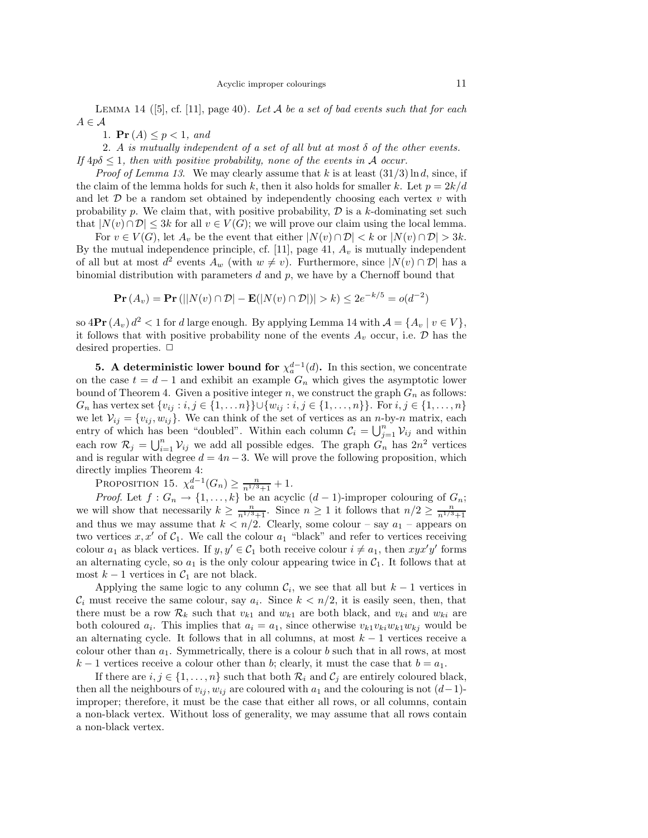LEMMA 14 ([5], cf. [11], page 40). Let A be a set of bad events such that for each  $A \in \mathcal{A}$ 

1.  $Pr(A) \leq p < 1$ , and

2. A is mutually independent of a set of all but at most  $\delta$  of the other events. If  $4p\delta \leq 1$ , then with positive probability, none of the events in A occur.

*Proof of Lemma 13.* We may clearly assume that k is at least  $(31/3) \ln d$ , since, if the claim of the lemma holds for such k, then it also holds for smaller k. Let  $p = 2k/d$ and let  $D$  be a random set obtained by independently choosing each vertex  $v$  with probability p. We claim that, with positive probability,  $D$  is a k-dominating set such that  $|N(v) \cap \mathcal{D}| \leq 3k$  for all  $v \in V(G)$ ; we will prove our claim using the local lemma.

For  $v \in V(G)$ , let  $A_v$  be the event that either  $|N(v) \cap \mathcal{D}| < k$  or  $|N(v) \cap \mathcal{D}| > 3k$ . By the mutual independence principle, cf.  $[11]$ , page 41,  $A_v$  is mutually independent of all but at most  $d^2$  events  $A_w$  (with  $w \neq v$ ). Furthermore, since  $|N(v) \cap \mathcal{D}|$  has a binomial distribution with parameters  $d$  and  $p$ , we have by a Chernoff bound that

$$
\mathbf{Pr}\left(A_v\right) = \mathbf{Pr}\left(\left|\left|N(v)\cap\mathcal{D}\right| - \mathbf{E}(\left|N(v)\cap\mathcal{D}\right|\right)\right| > k\right) \le 2e^{-k/5} = o(d^{-2})
$$

so  $4\mathbf{Pr}(A_v) d^2 < 1$  for d large enough. By applying Lemma 14 with  $\mathcal{A} = \{A_v \mid v \in V\},$ it follows that with positive probability none of the events  $A_v$  occur, i.e.  $D$  has the desired properties.  $\Box$ 

**5.** A deterministic lower bound for  $\chi_a^{d-1}(d)$ . In this section, we concentrate on the case  $t = d - 1$  and exhibit an example  $G_n$  which gives the asymptotic lower bound of Theorem 4. Given a positive integer n, we construct the graph  $G_n$  as follows:  $G_n$  has vertex set  $\{v_{ij} : i, j \in \{1, ..., n\}\} \cup \{w_{ij} : i, j \in \{1, ..., n\}\}\.$  For  $i, j \in \{1, ..., n\}$ we let  $V_{ij} = \{v_{ij}, w_{ij}\}.$  We can think of the set of vertices as an *n*-by-*n* matrix, each entry of which has been "doubled". Within each column  $\mathcal{C}_i = \bigcup_{j=1}^n \mathcal{V}_{ij}$  and within each row  $\mathcal{R}_j = \bigcup_{i=1}^n \mathcal{V}_{ij}$  we add all possible edges. The graph  $G_n$  has  $2n^2$  vertices and is regular with degree  $d = 4n - 3$ . We will prove the following proposition, which directly implies Theorem 4:

PROPOSITION 15.  $\chi_a^{d-1}(G_n) \ge \frac{n}{n^{1/3}+1} + 1$ .

*Proof.* Let  $f: G_n \to \{1, ..., k\}$  be an acyclic  $(d-1)$ -improper colouring of  $G_n$ ; we will show that necessarily  $k \geq \frac{n}{n^{1/3}+1}$ . Since  $n \geq 1$  it follows that  $n/2 \geq \frac{n}{n^{1/3}+1}$ and thus we may assume that  $k < n/2$ . Clearly, some colour – say  $a_1$  – appears on two vertices  $x, x'$  of  $C_1$ . We call the colour  $a_1$  "black" and refer to vertices receiving colour  $a_1$  as black vertices. If  $y, y' \in C_1$  both receive colour  $i \neq a_1$ , then  $xyx'y'$  forms an alternating cycle, so  $a_1$  is the only colour appearing twice in  $C_1$ . It follows that at most  $k - 1$  vertices in  $C_1$  are not black.

Applying the same logic to any column  $\mathcal{C}_i$ , we see that all but  $k-1$  vertices in  $\mathcal{C}_i$  must receive the same colour, say  $a_i$ . Since  $k < n/2$ , it is easily seen, then, that there must be a row  $\mathcal{R}_k$  such that  $v_{k1}$  and  $w_{k1}$  are both black, and  $v_{ki}$  and  $w_{ki}$  are both coloured  $a_i$ . This implies that  $a_i = a_1$ , since otherwise  $v_{k1}v_{ki}w_{k1}w_{kj}$  would be an alternating cycle. It follows that in all columns, at most  $k - 1$  vertices receive a colour other than  $a_1$ . Symmetrically, there is a colour b such that in all rows, at most  $k-1$  vertices receive a colour other than b; clearly, it must the case that  $b = a_1$ .

If there are  $i, j \in \{1, ..., n\}$  such that both  $\mathcal{R}_i$  and  $\mathcal{C}_j$  are entirely coloured black, then all the neighbours of  $v_{ij}$ ,  $w_{ij}$  are coloured with  $a_1$  and the colouring is not  $(d-1)$ improper; therefore, it must be the case that either all rows, or all columns, contain a non-black vertex. Without loss of generality, we may assume that all rows contain a non-black vertex.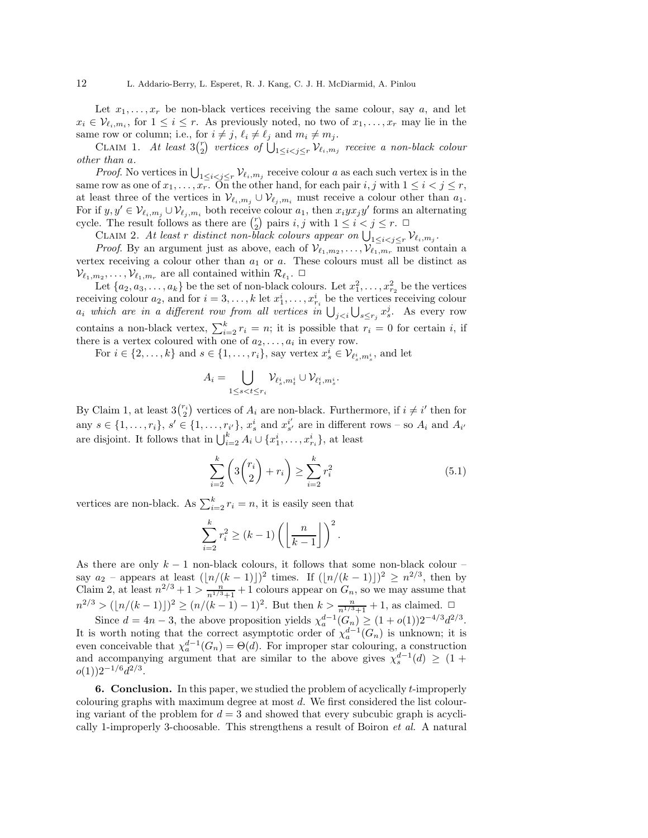Let  $x_1, \ldots, x_r$  be non-black vertices receiving the same colour, say a, and let  $x_i \in \mathcal{V}_{\ell_i,m_i}$ , for  $1 \leq i \leq r$ . As previously noted, no two of  $x_1, \ldots, x_r$  may lie in the same row or column; i.e., for  $i \neq j$ ,  $\ell_i \neq \ell_j$  and  $m_i \neq m_j$ .

CLAIM 1. At least  $3\binom{r}{2}$  vertices of  $\bigcup_{1 \leq i < j \leq r} \mathcal{V}_{\ell_i,m_j}$  receive a non-black colour other than a.

*Proof.* No vertices in  $\bigcup_{1 \leq i < j \leq r} \mathcal{V}_{\ell_i,m_j}$  receive colour a as each such vertex is in the same row as one of  $x_1, \ldots, x_r$ . On the other hand, for each pair  $i, j$  with  $1 \leq i < j \leq r$ , at least three of the vertices in  $\mathcal{V}_{\ell_i,m_i} \cup \mathcal{V}_{\ell_i,m_i}$  must receive a colour other than  $a_1$ . For if  $y, y' \in \mathcal{V}_{\ell_i,m_j} \cup \mathcal{V}_{\ell_j,m_i}$  both receive colour  $a_1$ , then  $x_i y x_j y'$  forms an alternating cycle. The result follows as there are  $\binom{r}{2}$  pairs  $i, j$  with  $1 \leq i < j \leq r$ .

CLAIM 2. At least r distinct non-black colours appear on  $\bigcup_{1 \leq i < j \leq r} \mathcal{V}_{\ell_i,m_j}$ .

*Proof.* By an argument just as above, each of  $\mathcal{V}_{\ell_1,m_2}, \ldots, \mathcal{V}_{\ell_1,m_r}$  must contain a vertex receiving a colour other than  $a_1$  or  $a$ . These colours must all be distinct as  $\mathcal{V}_{\ell_1,m_2}, \ldots, \mathcal{V}_{\ell_1,m_r}$  are all contained within  $\mathcal{R}_{\ell_1}$ .  $\Box$ 

Let  $\{a_2, a_3, \ldots, a_k\}$  be the set of non-black colours. Let  $x_1^2, \ldots, x_{r_2}^2$  be the vertices receiving colour  $a_2$ , and for  $i = 3, \ldots, k$  let  $x_1^i, \ldots, x_{r_i}^i$  be the vertices receiving colour  $a_i$  which are in a different row from all vertices in  $\bigcup_{j. As every row$ contains a non-black vertex,  $\sum_{i=2}^{k} r_i = n$ ; it is possible that  $r_i = 0$  for certain i, if there is a vertex coloured with one of  $a_2, \ldots, a_i$  in every row.

For  $i \in \{2, ..., k\}$  and  $s \in \{1, ..., r_i\}$ , say vertex  $x_s^i \in \mathcal{V}_{\ell_s^i, m_s^i}$ , and let

$$
A_i = \bigcup_{1 \le s < t \le r_i} \mathcal{V}_{\ell_s^i, m_t^i} \cup \mathcal{V}_{\ell_t^i, m_s^i}
$$

By Claim 1, at least  $3\binom{r_i}{2}$  vertices of  $A_i$  are non-black. Furthermore, if  $i \neq i'$  then for any  $s \in \{1, \ldots, r_i\}, s' \in \{1, \ldots, r_{i'}\}, x_s^i$  and  $x_{s'}^{i'}$  $s'$  are in different rows – so  $A_i$  and  $A_{i'}$ are disjoint. It follows that in  $\bigcup_{i=2}^{k} A_i \cup \{x_1^i, \ldots, x_{r_i}^i\}$ , at least

$$
\sum_{i=2}^{k} \left( 3 \binom{r_i}{2} + r_i \right) \ge \sum_{i=2}^{k} r_i^2 \tag{5.1}
$$

.

vertices are non-black. As  $\sum_{i=2}^{k} r_i = n$ , it is easily seen that

$$
\sum_{i=2}^{k} r_i^2 \ge (k-1) \left( \left\lfloor \frac{n}{k-1} \right\rfloor \right)^2.
$$

As there are only  $k - 1$  non-black colours, it follows that some non-black colour – say  $a_2$  – appears at least  $(\lfloor n/(k-1)\rfloor)^2$  times. If  $(\lfloor n/(k-1)\rfloor)^2 \geq n^{2/3}$ , then by Claim 2, at least  $n^{2/3} + 1 > \frac{n}{n^{1/3}+1} + 1$  colours appear on  $G_n$ , so we may assume that  $n^{2/3}$  > ([n/(k − 1)])<sup>2</sup> ≥ (n/(k − 1) − 1)<sup>2</sup>. But then  $k > \frac{n}{n^{1/3}+1} + 1$ , as claimed.  $\Box$ 

Since  $d = 4n - 3$ , the above proposition yields  $\chi_a^{d-1}(G_n) \ge (1 + o(1))2^{-4/3}d^{2/3}$ . It is worth noting that the correct asymptotic order of  $\chi_a^{d-1}(G_n)$  is unknown; it is even conceivable that  $\chi_a^{d-1}(G_n) = \Theta(d)$ . For improper star colouring, a construction and accompanying argument that are similar to the above gives  $\chi_s^{d-1}(d) \geq (1 +$  $o(1))2^{-1/6}d^{2/3}.$ 

**6. Conclusion.** In this paper, we studied the problem of acyclically  $t$ -improperly colouring graphs with maximum degree at most d. We first considered the list colouring variant of the problem for  $d = 3$  and showed that every subcubic graph is acyclically 1-improperly 3-choosable. This strengthens a result of Boiron et al. A natural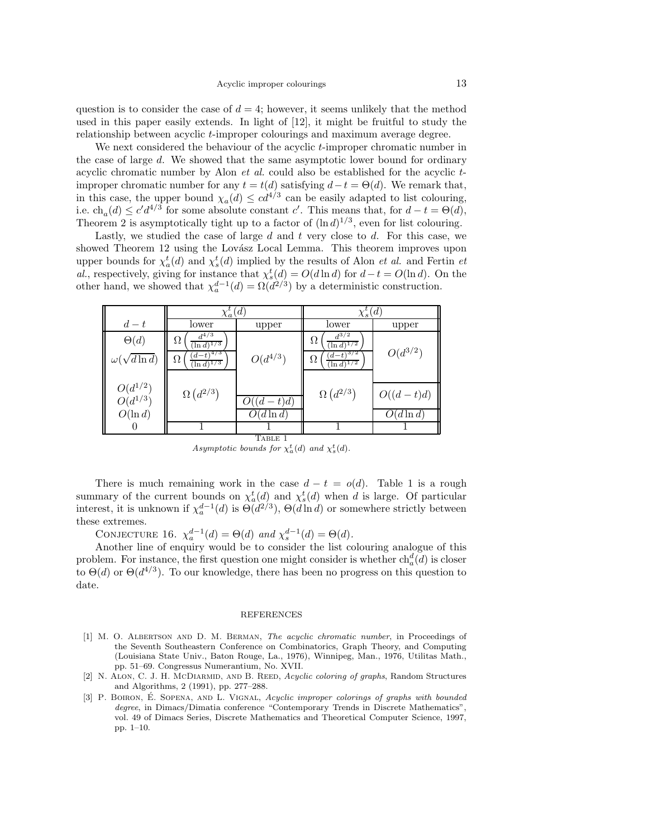question is to consider the case of  $d = 4$ ; however, it seems unlikely that the method used in this paper easily extends. In light of [12], it might be fruitful to study the relationship between acyclic t-improper colourings and maximum average degree.

We next considered the behaviour of the acyclic t-improper chromatic number in the case of large d. We showed that the same asymptotic lower bound for ordinary acyclic chromatic number by Alon  $et$  al. could also be established for the acyclic  $t$ improper chromatic number for any  $t = t(d)$  satisfying  $d - t = \Theta(d)$ . We remark that, in this case, the upper bound  $\chi_a(d) \leq cd^{4/3}$  can be easily adapted to list colouring, i.e.  $ch_a(d) \leq c'd^{4/3}$  for some absolute constant c'. This means that, for  $d-t = \Theta(d)$ , Theorem 2 is asymptotically tight up to a factor of  $(\ln d)^{1/3}$ , even for list colouring.

Lastly, we studied the case of large  $d$  and  $t$  very close to  $d$ . For this case, we showed Theorem 12 using the Lovász Local Lemma. This theorem improves upon upper bounds for  $\chi_a^t(d)$  and  $\chi_s^t(d)$  implied by the results of Alon *et al.* and Fertin *et* al., respectively, giving for instance that  $\chi_s^t(d) = O(d \ln d)$  for  $d - t = O(\ln d)$ . On the other hand, we showed that  $\chi_a^{d-1}(d) = \Omega(d^{2/3})$  by a deterministic construction.

|                              | $\chi_a^t(d)$                         |              | $\chi_s^t(d)$                         |              |
|------------------------------|---------------------------------------|--------------|---------------------------------------|--------------|
| $d-t$                        | lower                                 | upper        | lower                                 | upper        |
| $\Theta(d)$                  | $d^{4/3}$<br>Ω<br>$(\ln d)^{1/3}$     |              | $d^{3/2}$<br>Ω<br>$(\ln d)^{1/2}$     |              |
| $\omega(\sqrt{d \ln d})$     | $(d-t)^{4/3}$<br>Ω<br>$(\ln d)^{1/3}$ | $O(d^{4/3})$ | $(d-t)^{3/2}$<br>Ω<br>$(\ln d)^{1/2}$ | $O(d^{3/2})$ |
|                              |                                       |              |                                       |              |
| $O(d^{1/2})$<br>$O(d^{1/3})$ | $\Omega\left(d^{2/3}\right)$          |              | $\Omega\left(d^{2/3}\right)$          | $O((d-t)d)$  |
|                              |                                       | $(d-t)d$     |                                       |              |
| $O(\ln d)$                   |                                       | $(d \ln d)$  |                                       | $(d\ln d)$   |
|                              |                                       |              |                                       |              |
| TABLE 1                      |                                       |              |                                       |              |

Asymptotic bounds for  $\chi_a^t(d)$  and  $\chi_s^t(d)$ .

There is much remaining work in the case  $d - t = o(d)$ . Table 1 is a rough summary of the current bounds on  $\chi_a^t(d)$  and  $\chi_s^t(d)$  when d is large. Of particular interest, it is unknown if  $\chi_a^{d-1}(d)$  is  $\Theta(d^{2/3})$ ,  $\Theta(d \ln d)$  or somewhere strictly between these extremes.

CONJECTURE 16.  $\chi_a^{d-1}(d) = \Theta(d)$  and  $\chi_s^{d-1}(d) = \Theta(d)$ .

Another line of enquiry would be to consider the list colouring analogue of this problem. For instance, the first question one might consider is whether  $ch_a^d(d)$  is closer to  $\Theta(d)$  or  $\Theta(d^{4/3})$ . To our knowledge, there has been no progress on this question to date.

## REFERENCES

- [1] M. O. Albertson and D. M. Berman, The acyclic chromatic number, in Proceedings of the Seventh Southeastern Conference on Combinatorics, Graph Theory, and Computing (Louisiana State Univ., Baton Rouge, La., 1976), Winnipeg, Man., 1976, Utilitas Math., pp. 51–69. Congressus Numerantium, No. XVII.
- [2] N. ALON, C. J. H. McDIARMID, AND B. REED, Acyclic coloring of graphs, Random Structures and Algorithms, 2 (1991), pp. 277–288.
- [3] P. BOIRON, É. SOPENA, AND L. VIGNAL, Acyclic improper colorings of graphs with bounded degree, in Dimacs/Dimatia conference "Contemporary Trends in Discrete Mathematics", vol. 49 of Dimacs Series, Discrete Mathematics and Theoretical Computer Science, 1997, pp. 1–10.